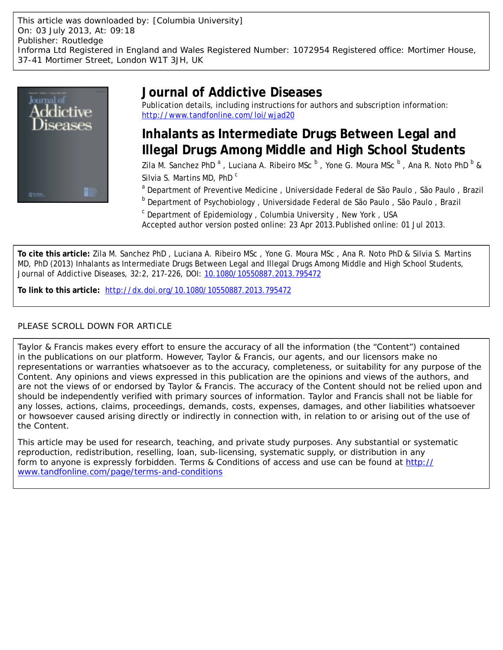This article was downloaded by: [Columbia University] On: 03 July 2013, At: 09:18 Publisher: Routledge Informa Ltd Registered in England and Wales Registered Number: 1072954 Registered office: Mortimer House, 37-41 Mortimer Street, London W1T 3JH, UK



## **Journal of Addictive Diseases**

Publication details, including instructions for authors and subscription information: <http://www.tandfonline.com/loi/wjad20>

# **Inhalants as Intermediate Drugs Between Legal and Illegal Drugs Among Middle and High School Students**

Zila M. Sanchez PhD <sup>a</sup> , Luciana A. Ribeiro MSc <sup>b</sup> , Yone G. Moura MSc <sup>b</sup> , Ana R. Noto PhD <sup>b</sup> & Silvia S. Martins MD, PhD<sup>c</sup>

<sup>a</sup> Department of Preventive Medicine, Universidade Federal de São Paulo, São Paulo, Brazil

<sup>b</sup> Department of Psychobiology, Universidade Federal de São Paulo, São Paulo, Brazil

<sup>c</sup> Department of Epidemiology, Columbia University, New York, USA

Accepted author version posted online: 23 Apr 2013.Published online: 01 Jul 2013.

**To cite this article:** Zila M. Sanchez PhD , Luciana A. Ribeiro MSc , Yone G. Moura MSc , Ana R. Noto PhD & Silvia S. Martins MD, PhD (2013) Inhalants as Intermediate Drugs Between Legal and Illegal Drugs Among Middle and High School Students, Journal of Addictive Diseases, 32:2, 217-226, DOI: [10.1080/10550887.2013.795472](http://www.tandfonline.com/action/showCitFormats?doi=10.1080/10550887.2013.795472)

**To link to this article:** <http://dx.doi.org/10.1080/10550887.2013.795472>

## PLEASE SCROLL DOWN FOR ARTICLE

Taylor & Francis makes every effort to ensure the accuracy of all the information (the "Content") contained in the publications on our platform. However, Taylor & Francis, our agents, and our licensors make no representations or warranties whatsoever as to the accuracy, completeness, or suitability for any purpose of the Content. Any opinions and views expressed in this publication are the opinions and views of the authors, and are not the views of or endorsed by Taylor & Francis. The accuracy of the Content should not be relied upon and should be independently verified with primary sources of information. Taylor and Francis shall not be liable for any losses, actions, claims, proceedings, demands, costs, expenses, damages, and other liabilities whatsoever or howsoever caused arising directly or indirectly in connection with, in relation to or arising out of the use of the Content.

This article may be used for research, teaching, and private study purposes. Any substantial or systematic reproduction, redistribution, reselling, loan, sub-licensing, systematic supply, or distribution in any form to anyone is expressly forbidden. Terms & Conditions of access and use can be found at [http://](http://www.tandfonline.com/page/terms-and-conditions) [www.tandfonline.com/page/terms-and-conditions](http://www.tandfonline.com/page/terms-and-conditions)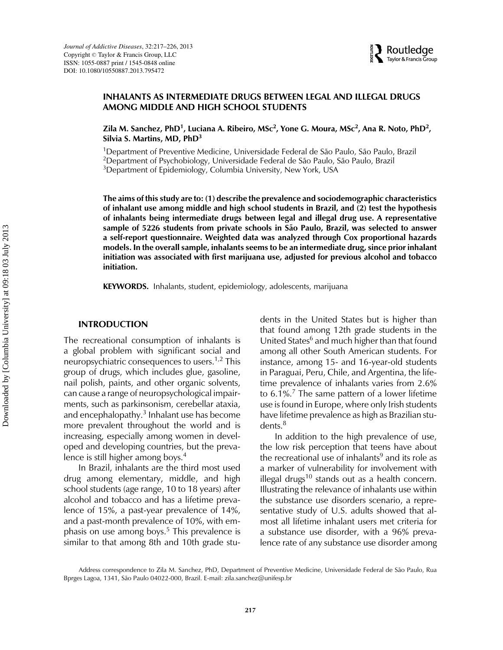

## **INHALANTS AS INTERMEDIATE DRUGS BETWEEN LEGAL AND ILLEGAL DRUGS AMONG MIDDLE AND HIGH SCHOOL STUDENTS**

**Zila M. Sanchez, PhD1, Luciana A. Ribeiro, MSc2, Yone G. Moura, MSc2, Ana R. Noto, PhD2, Silvia S. Martins, MD, PhD<sup>3</sup>**

<sup>1</sup>Department of Preventive Medicine, Universidade Federal de São Paulo, São Paulo, Brazil <sup>2</sup>Department of Psychobiology, Universidade Federal de São Paulo, São Paulo, Brazil 3Department of Epidemiology, Columbia University, New York, USA

**The aims of this study are to: (1) describe the prevalence and sociodemographic characteristics of inhalant use among middle and high school students in Brazil, and (2) test the hypothesis of inhalants being intermediate drugs between legal and illegal drug use. A representative** sample of 5226 students from private schools in São Paulo, Brazil, was selected to answer **a self-report questionnaire. Weighted data was analyzed through Cox proportional hazards models. In the overall sample, inhalants seems to be an intermediate drug, since prior inhalant initiation was associated with first marijuana use, adjusted for previous alcohol and tobacco initiation.**

**KEYWORDS.** Inhalants, student, epidemiology, adolescents, marijuana

#### **INTRODUCTION**

The recreational consumption of inhalants is a global problem with significant social and neuropsychiatric consequences to users.<sup>1,2</sup> This group of drugs, which includes glue, gasoline, nail polish, paints, and other organic solvents, can cause a range of neuropsychological impairments, such as parkinsonism, cerebellar ataxia, and encephalopathy. $3$  Inhalant use has become more prevalent throughout the world and is increasing, especially among women in developed and developing countries, but the prevalence is still higher among boys.<sup>4</sup>

In Brazil, inhalants are the third most used drug among elementary, middle, and high school students (age range, 10 to 18 years) after alcohol and tobacco and has a lifetime prevalence of 15%, a past-year prevalence of 14%, and a past-month prevalence of 10%, with emphasis on use among boys. $5$  This prevalence is similar to that among 8th and 10th grade students in the United States but is higher than that found among 12th grade students in the United States $6$  and much higher than that found among all other South American students. For instance, among 15- and 16-year-old students in Paraguai, Peru, Chile, and Argentina, the lifetime prevalence of inhalants varies from 2.6% to  $6.1\%$ .<sup>7</sup> The same pattern of a lower lifetime use is found in Europe, where only Irish students have lifetime prevalence as high as Brazilian students.<sup>8</sup>

In addition to the high prevalence of use, the low risk perception that teens have about the recreational use of inhalants<sup>9</sup> and its role as a marker of vulnerability for involvement with illegal drugs<sup>10</sup> stands out as a health concern. Illustrating the relevance of inhalants use within the substance use disorders scenario, a representative study of U.S. adults showed that almost all lifetime inhalant users met criteria for a substance use disorder, with a 96% prevalence rate of any substance use disorder among

Address correspondence to Zila M. Sanchez, PhD, Department of Preventive Medicine, Universidade Federal de São Paulo, Rua Bprges Lagoa, 1341, São Paulo 04022-000, Brazil. E-mail: zila.sanchez@unifesp.br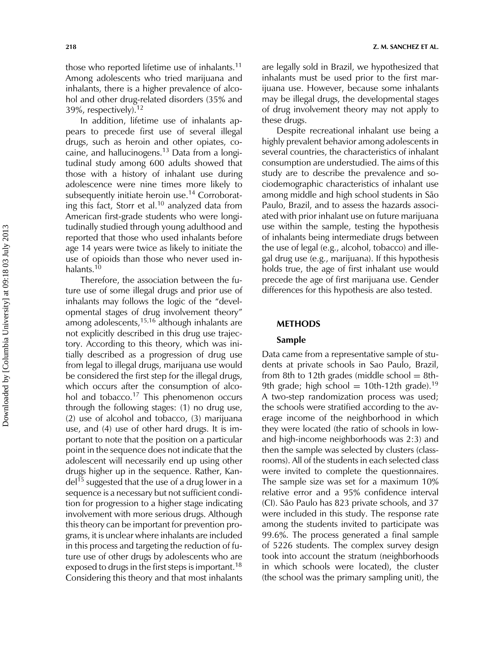those who reported lifetime use of inhalants.<sup>11</sup> Among adolescents who tried marijuana and inhalants, there is a higher prevalence of alcohol and other drug-related disorders (35% and 39%, respectively).<sup>12</sup>

In addition, lifetime use of inhalants appears to precede first use of several illegal drugs, such as heroin and other opiates, cocaine, and hallucinogens.<sup>13</sup> Data from a longitudinal study among 600 adults showed that those with a history of inhalant use during adolescence were nine times more likely to subsequently initiate heroin use.<sup>14</sup> Corroborating this fact, Storr et al.<sup>10</sup> analyzed data from American first-grade students who were longitudinally studied through young adulthood and reported that those who used inhalants before age 14 years were twice as likely to initiate the use of opioids than those who never used inhalants.<sup>10</sup>

Therefore, the association between the future use of some illegal drugs and prior use of inhalants may follows the logic of the "developmental stages of drug involvement theory" among adolescents,  $15,16$  although inhalants are not explicitly described in this drug use trajectory. According to this theory, which was initially described as a progression of drug use from legal to illegal drugs, marijuana use would be considered the first step for the illegal drugs, which occurs after the consumption of alcohol and tobacco.<sup>17</sup> This phenomenon occurs through the following stages: (1) no drug use, (2) use of alcohol and tobacco, (3) marijuana use, and (4) use of other hard drugs. It is important to note that the position on a particular point in the sequence does not indicate that the adolescent will necessarily end up using other drugs higher up in the sequence. Rather, Kan $del^{15}$  suggested that the use of a drug lower in a sequence is a necessary but not sufficient condition for progression to a higher stage indicating involvement with more serious drugs. Although this theory can be important for prevention programs, it is unclear where inhalants are included in this process and targeting the reduction of future use of other drugs by adolescents who are exposed to drugs in the first steps is important.<sup>18</sup> Considering this theory and that most inhalants

are legally sold in Brazil, we hypothesized that inhalants must be used prior to the first marijuana use. However, because some inhalants may be illegal drugs, the developmental stages of drug involvement theory may not apply to these drugs.

Despite recreational inhalant use being a highly prevalent behavior among adolescents in several countries, the characteristics of inhalant consumption are understudied. The aims of this study are to describe the prevalence and sociodemographic characteristics of inhalant use among middle and high school students in São Paulo, Brazil, and to assess the hazards associated with prior inhalant use on future marijuana use within the sample, testing the hypothesis of inhalants being intermediate drugs between the use of legal (e.g., alcohol, tobacco) and illegal drug use (e.g., marijuana). If this hypothesis holds true, the age of first inhalant use would precede the age of first marijuana use. Gender differences for this hypothesis are also tested.

#### **METHODS**

#### **Sample**

Data came from a representative sample of students at private schools in Sao Paulo, Brazil, from 8th to 12th grades (middle school  $=$  8th-9th grade; high school  $= 10$ th-12th grade).<sup>19</sup> A two-step randomization process was used; the schools were stratified according to the average income of the neighborhood in which they were located (the ratio of schools in lowand high-income neighborhoods was 2:3) and then the sample was selected by clusters (classrooms). All of the students in each selected class were invited to complete the questionnaires. The sample size was set for a maximum 10% relative error and a 95% confidence interval (CI). S˜ao Paulo has 823 private schools, and 37 were included in this study. The response rate among the students invited to participate was 99.6%. The process generated a final sample of 5226 students. The complex survey design took into account the stratum (neighborhoods in which schools were located), the cluster (the school was the primary sampling unit), the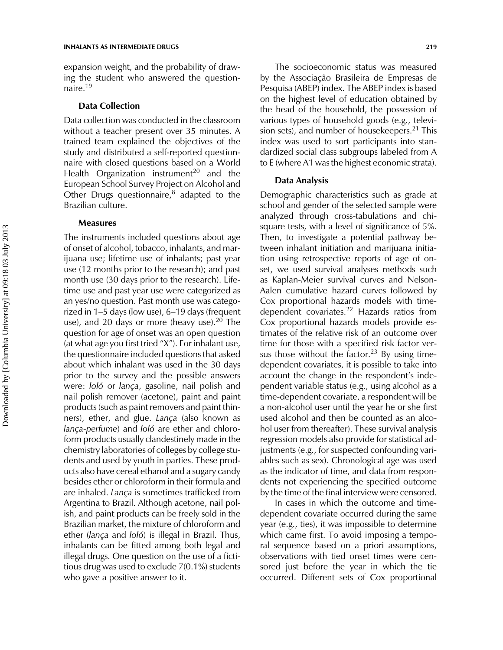expansion weight, and the probability of drawing the student who answered the questionnaire.<sup>19</sup>

#### **Data Collection**

Data collection was conducted in the classroom without a teacher present over 35 minutes. A trained team explained the objectives of the study and distributed a self-reported questionnaire with closed questions based on a World Health Organization instrument<sup>20</sup> and the European School Survey Project on Alcohol and Other Drugs questionnaire, $8$  adapted to the Brazilian culture.

#### **Measures**

The instruments included questions about age of onset of alcohol, tobacco, inhalants, and marijuana use; lifetime use of inhalants; past year use (12 months prior to the research); and past month use (30 days prior to the research). Lifetime use and past year use were categorized as an yes/no question. Past month use was categorized in 1–5 days (low use), 6–19 days (frequent use), and 20 days or more (heavy use). $20$  The question for age of onset was an open question (at what age you first tried "X"). For inhalant use, the questionnaire included questions that asked about which inhalant was used in the 30 days prior to the survey and the possible answers were: *loló* or *lança*, gasoline, nail polish and nail polish remover (acetone), paint and paint products (such as paint removers and paint thinners), ether, and glue. *Lança* (also known as *lanc¸a-perfume*) and *lolo´* are ether and chloroform products usually clandestinely made in the chemistry laboratories of colleges by college students and used by youth in parties. These products also have cereal ethanol and a sugary candy besides ether or chloroform in their formula and are inhaled. *Lanca* is sometimes trafficked from Argentina to Brazil. Although acetone, nail polish, and paint products can be freely sold in the Brazilian market, the mixture of chloroform and ether (*lança* and *loló*) is illegal in Brazil. Thus, inhalants can be fitted among both legal and illegal drugs. One question on the use of a fictitious drug was used to exclude 7(0.1%) students who gave a positive answer to it.

The socioeconomic status was measured by the Associação Brasileira de Empresas de Pesquisa (ABEP) index. The ABEP index is based on the highest level of education obtained by the head of the household, the possession of various types of household goods (e.g., television sets), and number of housekeepers.<sup>21</sup> This index was used to sort participants into standardized social class subgroups labeled from A to E (where A1 was the highest economic strata).

### **Data Analysis**

Demographic characteristics such as grade at school and gender of the selected sample were analyzed through cross-tabulations and chisquare tests, with a level of significance of 5%. Then, to investigate a potential pathway between inhalant initiation and marijuana initiation using retrospective reports of age of onset, we used survival analyses methods such as Kaplan-Meier survival curves and Nelson-Aalen cumulative hazard curves followed by Cox proportional hazards models with timedependent covariates.<sup>22</sup> Hazards ratios from Cox proportional hazards models provide estimates of the relative risk of an outcome over time for those with a specified risk factor versus those without the factor.<sup>23</sup> By using timedependent covariates, it is possible to take into account the change in the respondent's independent variable status (e.g., using alcohol as a time-dependent covariate, a respondent will be a non-alcohol user until the year he or she first used alcohol and then be counted as an alcohol user from thereafter). These survival analysis regression models also provide for statistical adjustments (e.g., for suspected confounding variables such as sex). Chronological age was used as the indicator of time, and data from respondents not experiencing the specified outcome by the time of the final interview were censored.

In cases in which the outcome and timedependent covariate occurred during the same year (e.g., ties), it was impossible to determine which came first. To avoid imposing a temporal sequence based on a priori assumptions, observations with tied onset times were censored just before the year in which the tie occurred. Different sets of Cox proportional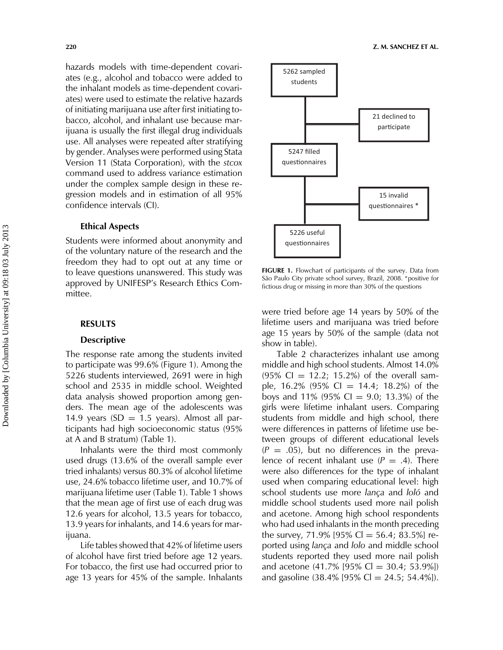hazards models with time-dependent covariates (e.g., alcohol and tobacco were added to the inhalant models as time-dependent covariates) were used to estimate the relative hazards of initiating marijuana use after first initiating tobacco, alcohol, and inhalant use because marijuana is usually the first illegal drug individuals use. All analyses were repeated after stratifying by gender. Analyses were performed using Stata Version 11 (Stata Corporation), with the *stcox* command used to address variance estimation under the complex sample design in these regression models and in estimation of all 95% confidence intervals (CI).

### **Ethical Aspects**

Students were informed about anonymity and of the voluntary nature of the research and the freedom they had to opt out at any time or to leave questions unanswered. This study was approved by UNIFESP's Research Ethics Committee.

#### **RESULTS**

#### **Descriptive**

The response rate among the students invited to participate was 99.6% (Figure 1). Among the 5226 students interviewed, 2691 were in high school and 2535 in middle school. Weighted data analysis showed proportion among genders. The mean age of the adolescents was 14.9 years (SD  $=$  1.5 years). Almost all participants had high socioeconomic status (95% at A and B stratum) (Table 1).

Inhalants were the third most commonly used drugs (13.6% of the overall sample ever tried inhalants) versus 80.3% of alcohol lifetime use, 24.6% tobacco lifetime user, and 10.7% of marijuana lifetime user (Table 1). Table 1 shows that the mean age of first use of each drug was 12.6 years for alcohol, 13.5 years for tobacco, 13.9 years for inhalants, and 14.6 years for marijuana.

Life tables showed that 42% of lifetime users of alcohol have first tried before age 12 years. For tobacco, the first use had occurred prior to age 13 years for 45% of the sample. Inhalants



**FIGURE 1.** Flowchart of participants of the survey. Data from São Paulo City private school survey, Brazil, 2008. \*positive for fictious drug or missing in more than 30% of the questions

were tried before age 14 years by 50% of the lifetime users and marijuana was tried before age 15 years by 50% of the sample (data not show in table).

Table 2 characterizes inhalant use among middle and high school students. Almost 14.0%  $(95\% \text{ Cl} = 12.2; 15.2\%)$  of the overall sample, 16.2% (95% CI = 14.4; 18.2%) of the boys and 11% (95% CI = 9.0; 13.3%) of the girls were lifetime inhalant users. Comparing students from middle and high school, there were differences in patterns of lifetime use between groups of different educational levels  $(P = .05)$ , but no differences in the prevalence of recent inhalant use  $(P = .4)$ . There were also differences for the type of inhalant used when comparing educational level: high school students use more *lança* and *loló* and middle school students used more nail polish and acetone. Among high school respondents who had used inhalants in the month preceding the survey, 71.9% [95% Cl = 56.4; 83.5%] reported using *lanc¸a* and *lolo* and middle school students reported they used more nail polish and acetone  $(41.7\% \, [95\% \, Cl = 30.4; 53.9\%])$ and gasoline  $(38.4\% \, [95\% \, Cl = 24.5; 54.4\%]).$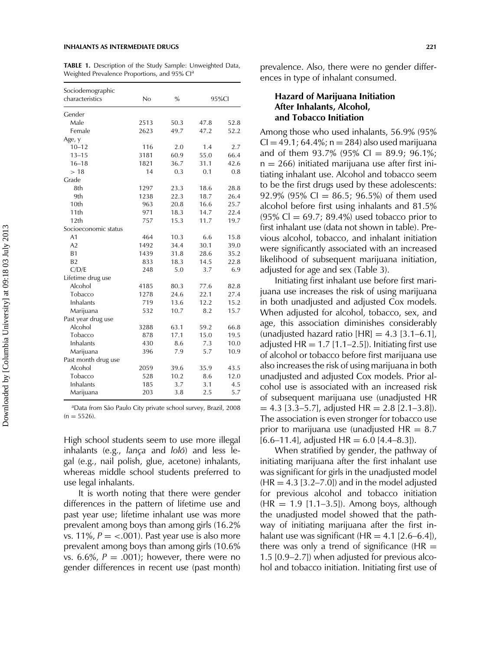#### **INHALANTS AS INTERMEDIATE DRUGS 221**

**TABLE 1.** Description of the Study Sample: Unweighted Data, Weighted Prevalence Proportions, and 95% Cl<sup>a</sup>

| Sociodemographic<br>characteristics | No   | $\frac{0}{0}$ |      | 95%Cl |
|-------------------------------------|------|---------------|------|-------|
| Gender                              |      |               |      |       |
| Male                                | 2513 | 50.3          | 47.8 | 52.8  |
| Female                              | 2623 | 49.7          | 47.2 | 52.2  |
| Age, y                              |      |               |      |       |
| $10 - 12$                           | 116  | 2.0           | 1.4  | 2.7   |
| $13 - 15$                           | 3181 | 60.9          | 55.0 | 66.4  |
| $16 - 18$                           | 1821 | 36.7          | 31.1 | 42.6  |
| >18                                 | 14   | 0.3           | 0.1  | 0.8   |
| Grade                               |      |               |      |       |
| 8th                                 | 1297 | 23.3          | 18.6 | 28.8  |
| 9th                                 | 1238 | 22.3          | 18.7 | 26.4  |
| 10th                                | 963  | 20.8          | 16.6 | 25.7  |
| 11th                                | 971  | 18.3          | 14.7 | 22.4  |
| 12th                                | 757  | 15.3          | 11.7 | 19.7  |
| Socioeconomic status                |      |               |      |       |
| A <sub>1</sub>                      | 464  | 10.3          | 6.6  | 15.8  |
| A <sub>2</sub>                      | 1492 | 34.4          | 30.1 | 39.0  |
| B <sub>1</sub>                      | 1439 | 31.8          | 28.6 | 35.2  |
| B <sub>2</sub>                      | 833  | 18.3          | 14.5 | 22.8  |
| C/D/E                               | 248  | 5.0           | 3.7  | 6.9   |
| Lifetime drug use                   |      |               |      |       |
| Alcohol                             | 4185 | 80.3          | 77.6 | 82.8  |
| Tobacco                             | 1278 | 24.6          | 22.1 | 27.4  |
| Inhalants                           | 719  | 13.6          | 12.2 | 15.2  |
| Marijuana                           | 532  | 10.7          | 8.2  | 15.7  |
| Past year drug use                  |      |               |      |       |
| Alcohol                             | 3288 | 63.1          | 59.2 | 66.8  |
| Tobacco                             | 878  | 17.1          | 15.0 | 19.5  |
| Inhalants                           | 430  | 8.6           | 7.3  | 10.0  |
| Marijuana                           | 396  | 7.9           | 5.7  | 10.9  |
| Past month drug use                 |      |               |      |       |
| Alcohol                             | 2059 | 39.6          | 35.9 | 43.5  |
| Tobacco                             | 528  | 10.2          | 8.6  | 12.0  |
| <b>Inhalants</b>                    | 185  | 3.7           | 3.1  | 4.5   |
| Marijuana                           | 203  | 3.8           | 2.5  | 5.7   |

<sup>&</sup>lt;sup>a</sup>Data from São Paulo City private school survey, Brazil, 2008  $(n = 5526)$ .

High school students seem to use more illegal inhalants (e.g., *lança* and *loló*) and less legal (e.g., nail polish, glue, acetone) inhalants, whereas middle school students preferred to use legal inhalants.

It is worth noting that there were gender differences in the pattern of lifetime use and past year use; lifetime inhalant use was more prevalent among boys than among girls (16.2% vs. 11%, *P* = *<*.001). Past year use is also more prevalent among boys than among girls (10.6% vs.  $6.6\%$ ,  $P = .001$ ; however, there were no gender differences in recent use (past month)

prevalence. Also, there were no gender differences in type of inhalant consumed.

## **Hazard of Marijuana Initiation After Inhalants, Alcohol, and Tobacco Initiation**

Among those who used inhalants, 56.9% (95%  $Cl = 49.1$ ; 64.4%; n = 284) also used marijuana and of them 93.7% (95% CI = 89.9; 96.1%;  $n = 266$ ) initiated marijuana use after first initiating inhalant use. Alcohol and tobacco seem to be the first drugs used by these adolescents: 92.9% (95% CI = 86.5; 96.5%) of them used alcohol before first using inhalants and 81.5%  $(95\% \text{ Cl} = 69.7; 89.4\%)$  used tobacco prior to first inhalant use (data not shown in table). Previous alcohol, tobacco, and inhalant initiation were significantly associated with an increased likelihood of subsequent marijuana initiation, adjusted for age and sex (Table 3).

Initiating first inhalant use before first marijuana use increases the risk of using marijuana in both unadjusted and adjusted Cox models. When adjusted for alcohol, tobacco, sex, and age, this association diminishes considerably (unadjusted hazard ratio  $[HR] = 4.3$  [3.1–6.1], adjusted  $HR = 1.7$  [1.1–2.5]). Initiating first use of alcohol or tobacco before first marijuana use also increases the risk of using marijuana in both unadjusted and adjusted Cox models. Prior alcohol use is associated with an increased risk of subsequent marijuana use (unadjusted HR  $= 4.3$  [3.3–5.7], adjusted HR  $= 2.8$  [2.1–3.8]). The association is even stronger for tobacco use prior to marijuana use (unadjusted  $HR = 8.7$  $[6.6–11.4]$ , adjusted HR = 6.0  $[4.4–8.3]$ ).

When stratified by gender, the pathway of initiating marijuana after the first inhalant use was significant for girls in the unadjusted model  $(HR = 4.3 [3.2–7.0])$  and in the model adjusted for previous alcohol and tobacco initiation  $(HR = 1.9$  [1.1–3.5]). Among boys, although the unadjusted model showed that the pathway of initiating marijuana after the first inhalant use was significant (HR  $=$  4.1 [2.6–6.4]), there was only a trend of significance (HR  $=$ 1.5 [0.9–2.7]) when adjusted for previous alcohol and tobacco initiation. Initiating first use of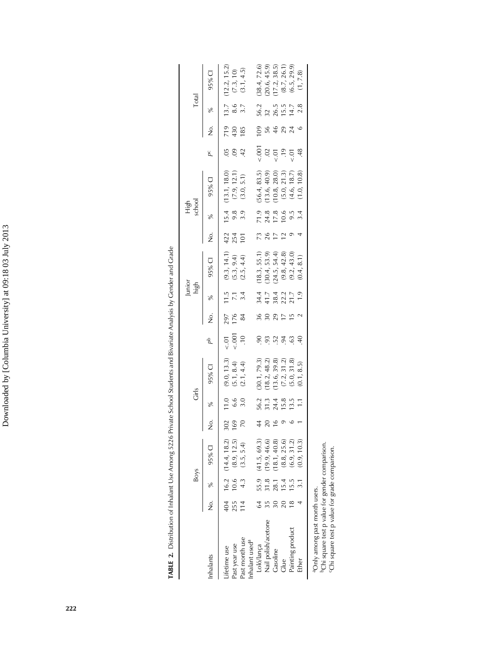| ١<br>I<br>I   |
|---------------|
| i             |
|               |
| l<br>I        |
| i             |
|               |
|               |
| ļ<br>ׇ֚֘<br>i |
|               |
|               |
| I             |

|                                           |     |      |                       |                   |                  |                                                                                                                         |                |                | Junior<br>high                            |                                                                                                                                |                     | High<br>school            |                                                                                                                                         |                                           |                   |                                                 |                                                                                      |
|-------------------------------------------|-----|------|-----------------------|-------------------|------------------|-------------------------------------------------------------------------------------------------------------------------|----------------|----------------|-------------------------------------------|--------------------------------------------------------------------------------------------------------------------------------|---------------------|---------------------------|-----------------------------------------------------------------------------------------------------------------------------------------|-------------------------------------------|-------------------|-------------------------------------------------|--------------------------------------------------------------------------------------|
|                                           |     |      | <b>Boys</b>           |                   | Girls            |                                                                                                                         |                |                |                                           |                                                                                                                                |                     |                           |                                                                                                                                         |                                           |                   | Total                                           |                                                                                      |
| nhalants                                  | ż   |      | 95% CI                | ż                 | L                | 95% CI                                                                                                                  | a,             | ż              | $\frac{5}{6}$                             | 95% CI                                                                                                                         | ż                   | ್                         | 95% CI                                                                                                                                  | ٤                                         | ż                 | $\frac{5}{6}$                                   | 95% CI                                                                               |
| .ifetime use                              | 404 |      | $16.2$ $(14.4, 18.2)$ |                   |                  |                                                                                                                         | $\overline{5}$ | 297            |                                           |                                                                                                                                |                     |                           |                                                                                                                                         |                                           |                   |                                                 |                                                                                      |
| ast year use                              | 255 | 10.6 | (8.9, 12.5)           | $\frac{302}{169}$ | $0.90$<br>$-6.0$ | $(9.0, 13.3)$<br>$(5.1, 8.4)$<br>$(2.1, 4.4)$                                                                           | $-0.001$       | 176            | $1.5$<br>7.7<br>3.4                       | $(9.3, 14.1)$<br>$(5.3, 9.4)$<br>$(2.5, 4.4)$                                                                                  | $424$<br>254<br>101 | $15.8$<br>$9.9$<br>$3.9$  | $(13.1, 18.0)$<br>$(7.9, 12.1)$<br>$(3.0, 5.1)$                                                                                         | ង់ ទូ អ៊                                  | 719<br>430<br>185 | $\frac{7}{8}$<br>$\frac{6}{3}$<br>$\frac{7}{3}$ | $(12.2, 15.2)$<br>$(7.3, 10)$<br>$(3.1, 4.5)$                                        |
| ast month use                             | 114 | 4.3  | (3.5, 5.4)            |                   |                  |                                                                                                                         |                | 84             |                                           |                                                                                                                                |                     |                           |                                                                                                                                         |                                           |                   |                                                 |                                                                                      |
| nhalant used <sup>a</sup>                 |     |      |                       |                   |                  |                                                                                                                         |                |                |                                           |                                                                                                                                |                     |                           |                                                                                                                                         |                                           |                   |                                                 |                                                                                      |
| Loló/lança                                |     | 55.9 | (41.5, 69.3)          |                   |                  |                                                                                                                         |                |                |                                           |                                                                                                                                | 73                  |                           |                                                                                                                                         | $-001$                                    |                   |                                                 |                                                                                      |
| Nail polish/acetone                       |     | 31.8 | (19.9, 46.6)          |                   |                  |                                                                                                                         |                |                |                                           |                                                                                                                                | 26                  |                           |                                                                                                                                         |                                           |                   |                                                 |                                                                                      |
| Gasoline                                  |     | 28.1 | (18.1, 40.8)          | 48500             |                  |                                                                                                                         | 9.9.9.4.9.9.4  |                | 4 L 4 C L 9<br>4 H 8 C L L<br>5 H 8 C L D |                                                                                                                                | $\overline{1}$      | N<br>VIVO o w<br>VIVO o w | $\begin{array}{l} (56.4, \, 83.5)\\ (13.6, \, 40.9)\\ (10.8, \, 28.0)\\ (5.0, \, 21.3)\\ (4.6, \, 18.7)\\ (1.0, \, 10.8)\\ \end{array}$ | $\frac{3}{2}$ $\frac{5}{2}$ $\frac{9}{2}$ |                   | 56.3<br>58.55.78<br>58.74.78                    |                                                                                      |
| Glue                                      |     | 15.4 | (8.8, 25.6)           |                   |                  |                                                                                                                         |                | $\overline{C}$ |                                           |                                                                                                                                | $\overline{12}$     |                           |                                                                                                                                         |                                           |                   |                                                 |                                                                                      |
| Painting product                          | ≌   | 15.5 | (6.9, 31.2)           |                   |                  |                                                                                                                         |                | $\overline{1}$ |                                           |                                                                                                                                | $\circ$             |                           |                                                                                                                                         | $\overline{0}$                            |                   |                                                 |                                                                                      |
| Ether                                     |     |      | (0.9, 10.3)           |                   |                  | $\begin{array}{c} (30.1, 79.3) \\ (18.2, 48.2) \\ (13.6, 39.8) \\ (7.2, 31.2) \\ (5.0, 31.8) \\ (0.1, 8.5) \end{array}$ |                |                |                                           | $\begin{array}{l} (18.3,\; 55.1)\\ (30.4,\; 53.9)\\ (24.5,\; 54.4)\\ (9.8,\; 42.8)\\ (9.2,\; 43.0)\\ (0.4,\; 8.1) \end{array}$ |                     |                           |                                                                                                                                         | 48                                        |                   |                                                 | $(38.4, 72.6)$<br>$(20.6, 45.9)$<br>$(17.2, 38.5)$<br>$(8.7, 26.1)$<br>$(6.5, 29.9)$ |
| <sup>a</sup> Only among past month users. |     |      |                       |                   |                  |                                                                                                                         |                |                |                                           |                                                                                                                                |                     |                           |                                                                                                                                         |                                           |                   |                                                 |                                                                                      |

TABLE 2. Distribution of Inhalant Use Among 5226 Private School Students and Bivariate Analysis by Gender and Grade **TABLE 2.** Distribution of Inhalant Use Among 5226 Private School Students and Bivariate Analysis by Gender and Grade

bCii, y <sup>arrow</sup>i, p and in the foregarder comparison.<br><sup>b</sup>Chi square test p value for gender comparison.<br><sup>C</sup>Chi square test p value for grade comparison. bChi square test p value for gender comparison. cChi square test p value for grade comparison.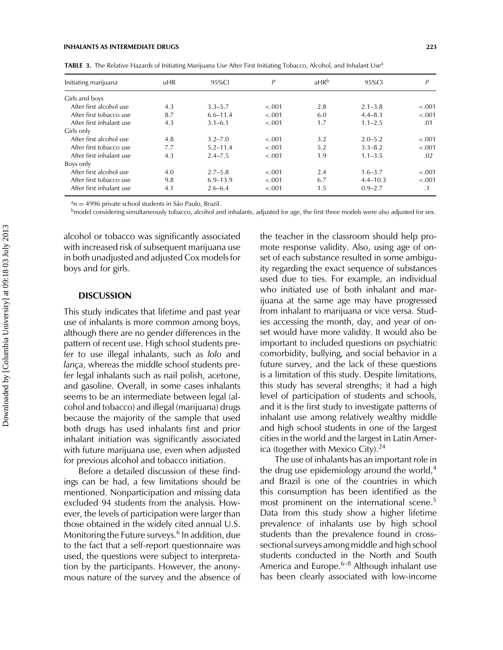#### **INHALANTS AS INTERMEDIATE DRUGS 223**

| Initiating marijuana     | uHR | 95%Cl        | P       | aHR <sup>b</sup> | 95%Cl        | D       |
|--------------------------|-----|--------------|---------|------------------|--------------|---------|
| Girls and boys           |     |              |         |                  |              |         |
| After first alcohol use  | 4.3 | $3.3 - 5.7$  | $-.001$ | 2.8              | $2.1 - 3.8$  | < .001  |
| After first tobacco use  | 8.7 | $6.6 - 11.4$ | < .001  | 6.0              | $4.4 - 8.3$  | $-.001$ |
| After first inhalant use | 4.3 | $3.1 - 6.1$  | < .001  | 1.7              | $1.1 - 2.5$  | .01     |
| Girls only               |     |              |         |                  |              |         |
| After first alcohol use  | 4.8 | $3.2 - 7.0$  | $-.001$ | 3.2              | $2.0 - 5.2$  | < .001  |
| After first tobacco use  | 7.7 | $5.2 - 11.4$ | < .001  | 5.2              | $3.3 - 8.2$  | $-.001$ |
| After first inhalant use | 4.3 | $2.4 - 7.5$  | < .001  | 1.9              | $1.1 - 3.5$  | .02     |
| Boys only                |     |              |         |                  |              |         |
| After first alcohol use  | 4.0 | $2.7 - 5.8$  | $-.001$ | 2.4              | $1.6 - 3.7$  | $-.001$ |
| After first tobacco use  | 9.8 | $6.9 - 13.9$ | $-.001$ | 6.7              | $4.4 - 10.3$ | $-.001$ |
| After first inhalant use | 4.1 | $2.6 - 6.4$  | $-.001$ | 1.5              | $0.9 - 2.7$  | .1      |

**TABLE 3.** The Relative Hazards of Initiating Marijuana Use After First Initiating Tobacco, Alcohol, and Inhalant Use<sup>a</sup>

 $a_n = 4996$  private school students in São Paulo, Brazil.

b<sub>model</sub> considering simultaneously tobacco, alcohol and inhalants, adjusted for age, the first three models were also adjusted for sex.

alcohol or tobacco was significantly associated with increased risk of subsequent marijuana use in both unadjusted and adjusted Cox models for boys and for girls.

#### **DISCUSSION**

This study indicates that lifetime and past year use of inhalants is more common among boys, although there are no gender differences in the pattern of recent use. High school students prefer to use illegal inhalants, such as *lolo* and lança, whereas the middle school students prefer legal inhalants such as nail polish, acetone, and gasoline. Overall, in some cases inhalants seems to be an intermediate between legal (alcohol and tobacco) and illegal (marijuana) drugs because the majority of the sample that used both drugs has used inhalants first and prior inhalant initiation was significantly associated with future marijuana use, even when adjusted for previous alcohol and tobacco initiation.

Before a detailed discussion of these findings can be had, a few limitations should be mentioned. Nonparticipation and missing data excluded 94 students from the analysis. However, the levels of participation were larger than those obtained in the widely cited annual U.S. Monitoring the Future surveys.<sup>6</sup> In addition, due to the fact that a self-report questionnaire was used, the questions were subject to interpretation by the participants. However, the anonymous nature of the survey and the absence of the teacher in the classroom should help promote response validity. Also, using age of onset of each substance resulted in some ambiguity regarding the exact sequence of substances used due to ties. For example, an individual who initiated use of both inhalant and marijuana at the same age may have progressed from inhalant to marijuana or vice versa. Studies accessing the month, day, and year of onset would have more validity. It would also be important to included questions on psychiatric comorbidity, bullying, and social behavior in a future survey, and the lack of these questions is a limitation of this study. Despite limitations, this study has several strengths; it had a high level of participation of students and schools, and it is the first study to investigate patterns of inhalant use among relatively wealthy middle and high school students in one of the largest cities in the world and the largest in Latin America (together with Mexico City).<sup>24</sup>

The use of inhalants has an important role in the drug use epidemiology around the world, $4$ and Brazil is one of the countries in which this consumption has been identified as the most prominent on the international scene.<sup>5</sup> Data from this study show a higher lifetime prevalence of inhalants use by high school students than the prevalence found in crosssectional surveys among middle and high school students conducted in the North and South America and Europe.<sup>6–8</sup> Although inhalant use has been clearly associated with low-income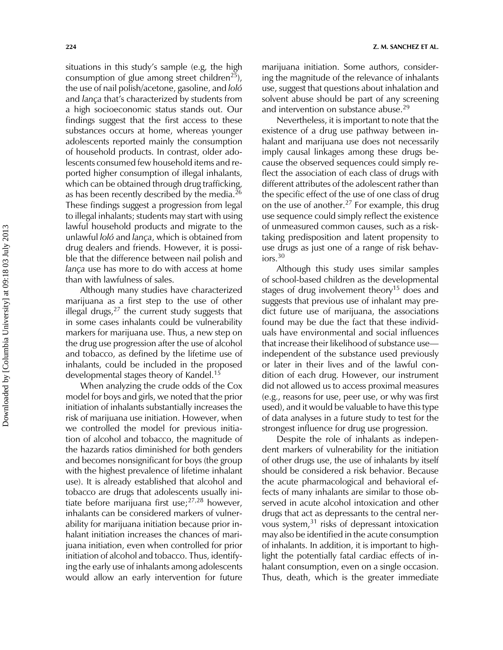situations in this study's sample (e.g, the high consumption of glue among street children<sup>25</sup>), the use of nail polish/acetone, gasoline, and *lolo´* and *lança* that's characterized by students from a high socioeconomic status stands out. Our findings suggest that the first access to these substances occurs at home, whereas younger adolescents reported mainly the consumption of household products. In contrast, older adolescents consumed few household items and reported higher consumption of illegal inhalants, which can be obtained through drug trafficking, as has been recently described by the media.<sup>26</sup> These findings suggest a progression from legal to illegal inhalants; students may start with using lawful household products and migrate to the unlawful *lolo´* and *lanc¸a*, which is obtained from drug dealers and friends. However, it is possible that the difference between nail polish and lança use has more to do with access at home than with lawfulness of sales.

Although many studies have characterized marijuana as a first step to the use of other illegal drugs, $27$  the current study suggests that in some cases inhalants could be vulnerability markers for marijuana use. Thus, a new step on the drug use progression after the use of alcohol and tobacco, as defined by the lifetime use of inhalants, could be included in the proposed developmental stages theory of Kandel.15

When analyzing the crude odds of the Cox model for boys and girls, we noted that the prior initiation of inhalants substantially increases the risk of marijuana use initiation. However, when we controlled the model for previous initiation of alcohol and tobacco, the magnitude of the hazards ratios diminished for both genders and becomes nonsignificant for boys (the group with the highest prevalence of lifetime inhalant use). It is already established that alcohol and tobacco are drugs that adolescents usually initiate before marijuana first use; $27,28$  however, inhalants can be considered markers of vulnerability for marijuana initiation because prior inhalant initiation increases the chances of marijuana initiation, even when controlled for prior initiation of alcohol and tobacco. Thus, identifying the early use of inhalants among adolescents would allow an early intervention for future marijuana initiation. Some authors, considering the magnitude of the relevance of inhalants use, suggest that questions about inhalation and solvent abuse should be part of any screening and intervention on substance abuse.<sup>29</sup>

Nevertheless, it is important to note that the existence of a drug use pathway between inhalant and marijuana use does not necessarily imply causal linkages among these drugs because the observed sequences could simply reflect the association of each class of drugs with different attributes of the adolescent rather than the specific effect of the use of one class of drug on the use of another.<sup>27</sup> For example, this drug use sequence could simply reflect the existence of unmeasured common causes, such as a risktaking predisposition and latent propensity to use drugs as just one of a range of risk behaviors.<sup>30</sup>

Although this study uses similar samples of school-based children as the developmental stages of drug involvement theory<sup>15</sup> does and suggests that previous use of inhalant may predict future use of marijuana, the associations found may be due the fact that these individuals have environmental and social influences that increase their likelihood of substance use independent of the substance used previously or later in their lives and of the lawful condition of each drug. However, our instrument did not allowed us to access proximal measures (e.g., reasons for use, peer use, or why was first used), and it would be valuable to have this type of data analyses in a future study to test for the strongest influence for drug use progression.

Despite the role of inhalants as independent markers of vulnerability for the initiation of other drugs use, the use of inhalants by itself should be considered a risk behavior. Because the acute pharmacological and behavioral effects of many inhalants are similar to those observed in acute alcohol intoxication and other drugs that act as depressants to the central nervous system,<sup>31</sup> risks of depressant intoxication may also be identified in the acute consumption of inhalants. In addition, it is important to highlight the potentially fatal cardiac effects of inhalant consumption, even on a single occasion. Thus, death, which is the greater immediate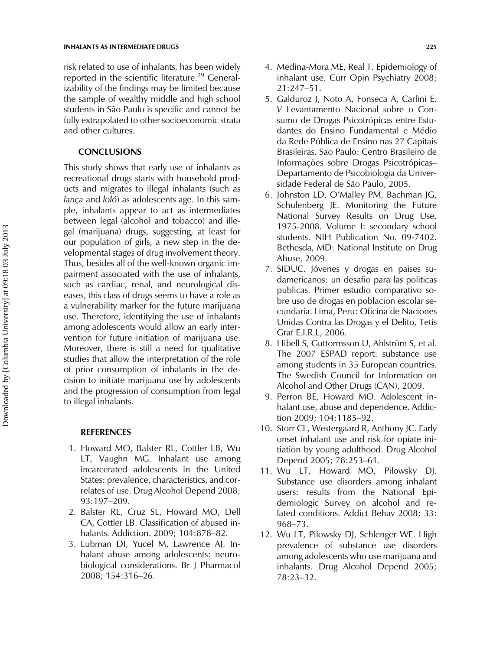risk related to use of inhalants, has been widely reported in the scientific literature.<sup>29</sup> Generalizability of the findings may be limited because the sample of wealthy middle and high school students in S˜ao Paulo is specific and cannot be fully extrapolated to other socioeconomic strata and other cultures.

#### **CONCLUSIONS**

This study shows that early use of inhalants as recreational drugs starts with household products and migrates to illegal inhalants (such as *lança* and *loló*) as adolescents age. In this sample, inhalants appear to act as intermediates between legal (alcohol and tobacco) and illegal (marijuana) drugs, suggesting, at least for our population of girls, a new step in the developmental stages of drug involvement theory. Thus, besides all of the well-known organic impairment associated with the use of inhalants, such as cardiac, renal, and neurological diseases, this class of drugs seems to have a role as a vulnerability marker for the future marijuana use. Therefore, identifying the use of inhalants among adolescents would allow an early intervention for future initiation of marijuana use. Moreover, there is still a need for qualitative studies that allow the interpretation of the role of prior consumption of inhalants in the decision to initiate marijuana use by adolescents and the progression of consumption from legal to illegal inhalants.

### **REFERENCES**

- 1. Howard MO, Balster RL, Cottler LB, Wu LT, Vaughn MG. Inhalant use among incarcerated adolescents in the United States: prevalence, characteristics, and correlates of use. Drug Alcohol Depend 2008; 93:197–209.
- 2. Balster RL, Cruz SL, Howard MO, Dell CA, Cottler LB. Classification of abused inhalants. Addiction. 2009; 104:878–82.
- 3. Lubman DI, Yucel M, Lawrence AJ. Inhalant abuse among adolescents: neurobiological considerations. Br J Pharmacol 2008; 154:316–26.
- 4. Medina-Mora ME, Real T. Epidemiology of inhalant use. Curr Opin Psychiatry 2008; 21:247–51.
- 5. Galduroz J, Noto A, Fonseca A, Carlini E. *V* Levantamento Nacional sobre o Consumo de Drogas Psicotrópicas entre Estudantes do Ensino Fundamental e Médio da Rede Pública de Ensino nas 27 Capitais Brasileiras. Sao Paulo: Centro Brasileiro de Informações sobre Drogas Psicotrópicas– Departamento de Psicobiologia da Universidade Federal de São Paulo, 2005.
- 6. Johnston LD, O'Malley PM, Bachman JG, Schulenberg JE. Monitoring the Future National Survey Results on Drug Use, 1975-2008. Volume I: secondary school students. NIH Publication No. 09-7402. Bethesda, MD: National Institute on Drug Abuse, 2009.
- 7. SIDUC. Jóvenes y drogas en paises sudamericanos: un desafio para las politicas publicas. Primer estudio comparativo sobre uso de drogas en poblacion escolar secundaria. Lima, Peru: Oficina de Naciones Unidas Contra las Drogas y el Delito, Tetis Graf E.I.R.L, 2006.
- 8. Hibell S, Guttormsson U, Ahlström S, et al. The 2007 ESPAD report: substance use among students in 35 European countries. The Swedish Council for Information on Alcohol and Other Drugs (CAN), 2009.
- 9. Perron BE, Howard MO. Adolescent inhalant use, abuse and dependence. Addiction 2009; 104:1185–92.
- 10. Storr CL, Westergaard R, Anthony JC. Early onset inhalant use and risk for opiate initiation by young adulthood. Drug Alcohol Depend 2005; 78:253–61.
- 11. Wu LT, Howard MO, Pilowsky DJ. Substance use disorders among inhalant users: results from the National Epidemiologic Survey on alcohol and related conditions. Addict Behav 2008; 33: 968–73.
- 12. Wu LT, Pilowsky DJ, Schlenger WE. High prevalence of substance use disorders among adolescents who use marijuana and inhalants. Drug Alcohol Depend 2005; 78:23–32.